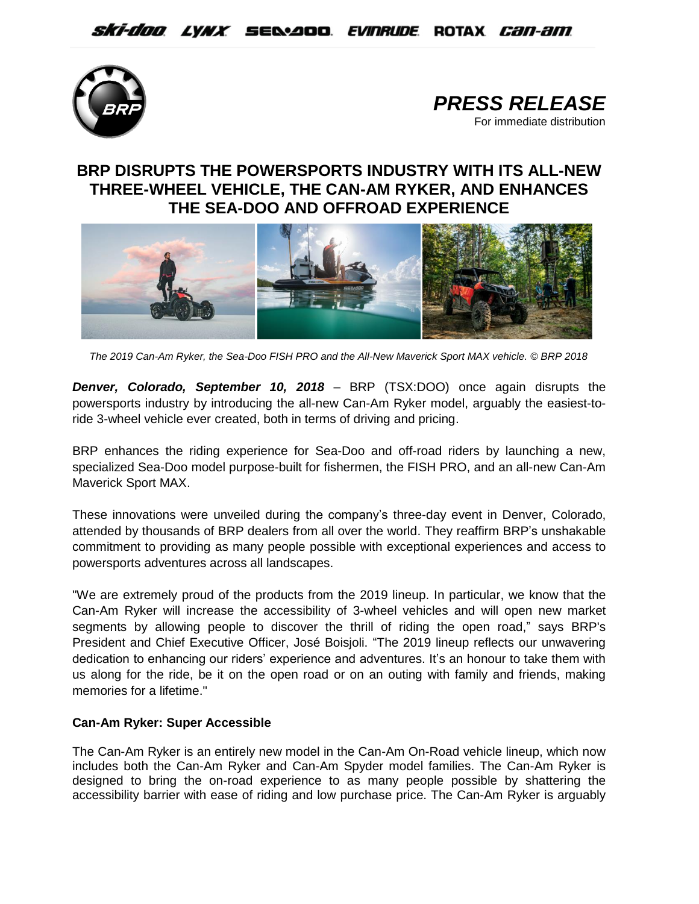



# **BRP DISRUPTS THE POWERSPORTS INDUSTRY WITH ITS ALL-NEW THREE-WHEEL VEHICLE, THE CAN-AM RYKER, AND ENHANCES THE SEA-DOO AND OFFROAD EXPERIENCE**



 *The 2019 Can-Am Ryker, the Sea-Doo FISH PRO and the All-New Maverick Sport MAX vehicle. © BRP 2018*

*Denver, Colorado, September 10, 2018* – BRP (TSX:DOO) once again disrupts the powersports industry by introducing the all-new Can-Am Ryker model, arguably the easiest-toride 3-wheel vehicle ever created, both in terms of driving and pricing.

BRP enhances the riding experience for Sea-Doo and off-road riders by launching a new, specialized Sea-Doo model purpose-built for fishermen, the FISH PRO, and an all-new Can-Am Maverick Sport MAX.

These innovations were unveiled during the company's three-day event in Denver, Colorado, attended by thousands of BRP dealers from all over the world. They reaffirm BRP's unshakable commitment to providing as many people possible with exceptional experiences and access to powersports adventures across all landscapes.

"We are extremely proud of the products from the 2019 lineup. In particular, we know that the Can-Am Ryker will increase the accessibility of 3-wheel vehicles and will open new market segments by allowing people to discover the thrill of riding the open road," says BRP's President and Chief Executive Officer, José Boisjoli. "The 2019 lineup reflects our unwavering dedication to enhancing our riders' experience and adventures. It's an honour to take them with us along for the ride, be it on the open road or on an outing with family and friends, making memories for a lifetime."

# **Can-Am Ryker: Super Accessible**

The Can-Am Ryker is an entirely new model in the Can-Am On-Road vehicle lineup, which now includes both the Can-Am Ryker and Can-Am Spyder model families. The Can-Am Ryker is designed to bring the on-road experience to as many people possible by shattering the accessibility barrier with ease of riding and low purchase price. The Can-Am Ryker is arguably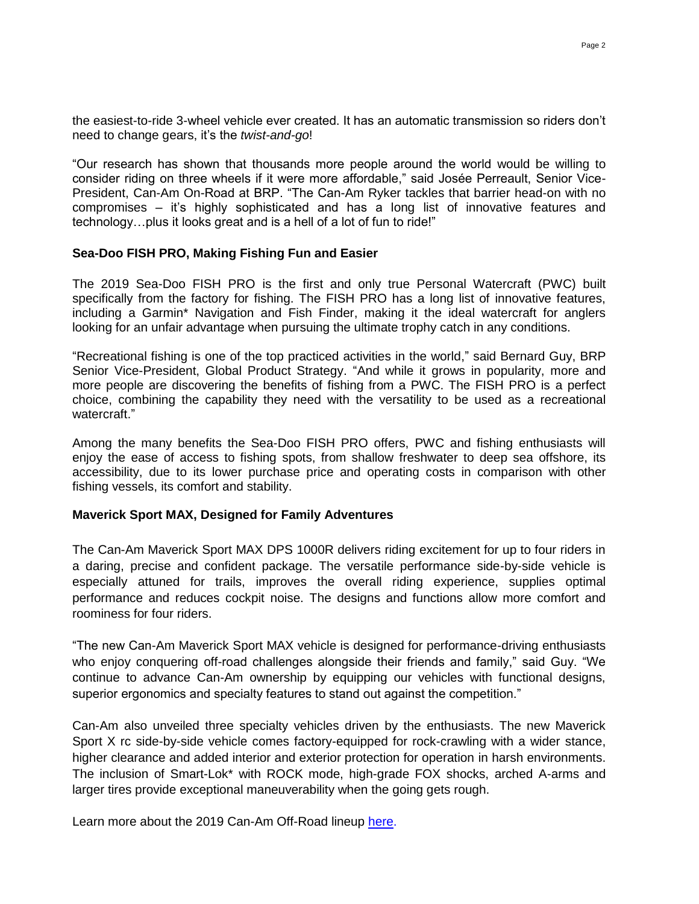the easiest-to-ride 3-wheel vehicle ever created. It has an automatic transmission so riders don't need to change gears, it's the *twist-and-go*!

"Our research has shown that thousands more people around the world would be willing to consider riding on three wheels if it were more affordable," said Josée Perreault, Senior Vice-President, Can-Am On-Road at BRP. "The Can-Am Ryker tackles that barrier head-on with no compromises – it's highly sophisticated and has a long list of innovative features and technology…plus it looks great and is a hell of a lot of fun to ride!"

# **Sea-Doo FISH PRO, Making Fishing Fun and Easier**

The 2019 Sea-Doo FISH PRO is the first and only true Personal Watercraft (PWC) built specifically from the factory for fishing. The FISH PRO has a long list of innovative features, including a Garmin\* Navigation and Fish Finder, making it the ideal watercraft for anglers looking for an unfair advantage when pursuing the ultimate trophy catch in any conditions.

"Recreational fishing is one of the top practiced activities in the world," said Bernard Guy, BRP Senior Vice-President, Global Product Strategy. "And while it grows in popularity, more and more people are discovering the benefits of fishing from a PWC. The FISH PRO is a perfect choice, combining the capability they need with the versatility to be used as a recreational watercraft."

Among the many benefits the Sea-Doo FISH PRO offers, PWC and fishing enthusiasts will enjoy the ease of access to fishing spots, from shallow freshwater to deep sea offshore, its accessibility, due to its lower purchase price and operating costs in comparison with other fishing vessels, its comfort and stability.

### **Maverick Sport MAX, Designed for Family Adventures**

The Can-Am Maverick Sport MAX DPS 1000R delivers riding excitement for up to four riders in a daring, precise and confident package. The versatile performance side-by-side vehicle is especially attuned for trails, improves the overall riding experience, supplies optimal performance and reduces cockpit noise. The designs and functions allow more comfort and roominess for four riders.

"The new Can-Am Maverick Sport MAX vehicle is designed for performance-driving enthusiasts who enjoy conquering off-road challenges alongside their friends and family," said Guy. "We continue to advance Can-Am ownership by equipping our vehicles with functional designs, superior ergonomics and specialty features to stand out against the competition."

Can-Am also unveiled three specialty vehicles driven by the enthusiasts. The new Maverick Sport X rc side-by-side vehicle comes factory-equipped for rock-crawling with a wider stance, higher clearance and added interior and exterior protection for operation in harsh environments. The inclusion of Smart-Lok\* with ROCK mode, high-grade FOX shocks, arched A-arms and larger tires provide exceptional maneuverability when the going gets rough.

Learn more about the 2019 Can-Am Off-Road lineup [here.](http://news.brp.com/phoenix.zhtml?c=254477&p=irol-newsarticle&ID=2366568)